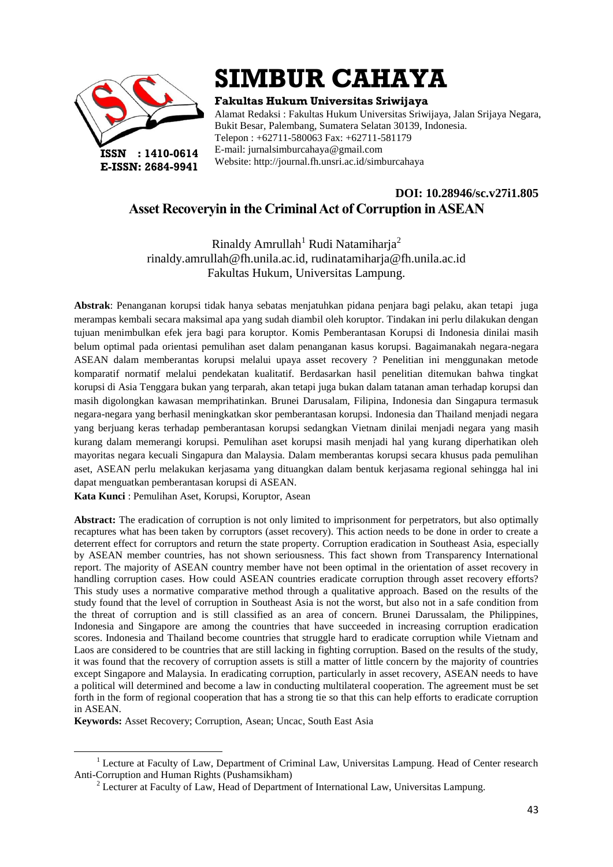

# **SIMBUR CAHAYA**

**Fakultas Hukum Universitas Sriwijaya**

Alamat Redaksi : Fakultas Hukum Universitas Sriwijaya, Jalan Srijaya Negara, Bukit Besar, Palembang, Sumatera Selatan 30139, Indonesia. Telepon : +62711-580063 Fax: +62711-581179 E-mail: jurnalsimburcahaya@gmail.com Website: http://journal.fh.unsri.ac.id/simburcahaya

# **DOI: 10.28946/sc.v27i1.805 Asset Recoveryin in the Criminal Act of Corruption in ASEAN**

Rinaldy Amrullah<sup>1</sup> Rudi Natamiharja<sup>2</sup> [rinaldy.amrullah@fh.unila.ac.id,](mailto:rinaldy.amrullah@fh.unila.ac.id) [rudinatamiharja@fh.unila.ac.id](mailto:rudinatamiharja@fh.unila.ac.id) Fakultas Hukum, Universitas Lampung.

**Abstrak**: Penanganan korupsi tidak hanya sebatas menjatuhkan pidana penjara bagi pelaku, akan tetapi juga merampas kembali secara maksimal apa yang sudah diambil oleh koruptor. Tindakan ini perlu dilakukan dengan tujuan menimbulkan efek jera bagi para koruptor. Komis Pemberantasan Korupsi di Indonesia dinilai masih belum optimal pada orientasi pemulihan aset dalam penanganan kasus korupsi. Bagaimanakah negara-negara ASEAN dalam memberantas korupsi melalui upaya asset recovery ? Penelitian ini menggunakan metode komparatif normatif melalui pendekatan kualitatif. Berdasarkan hasil penelitian ditemukan bahwa tingkat korupsi di Asia Tenggara bukan yang terparah, akan tetapi juga bukan dalam tatanan aman terhadap korupsi dan masih digolongkan kawasan memprihatinkan. Brunei Darusalam, Filipina, Indonesia dan Singapura termasuk negara-negara yang berhasil meningkatkan skor pemberantasan korupsi. Indonesia dan Thailand menjadi negara yang berjuang keras terhadap pemberantasan korupsi sedangkan Vietnam dinilai menjadi negara yang masih kurang dalam memerangi korupsi. Pemulihan aset korupsi masih menjadi hal yang kurang diperhatikan oleh mayoritas negara kecuali Singapura dan Malaysia. Dalam memberantas korupsi secara khusus pada pemulihan aset, ASEAN perlu melakukan kerjasama yang dituangkan dalam bentuk kerjasama regional sehingga hal ini dapat menguatkan pemberantasan korupsi di ASEAN.

**Kata Kunci** : Pemulihan Aset, Korupsi, Koruptor, Asean

**Abstract:** The eradication of corruption is not only limited to imprisonment for perpetrators, but also optimally recaptures what has been taken by corruptors (asset recovery). This action needs to be done in order to create a deterrent effect for corruptors and return the state property. Corruption eradication in Southeast Asia, especially by ASEAN member countries, has not shown seriousness. This fact shown from Transparency International report. The majority of ASEAN country member have not been optimal in the orientation of asset recovery in handling corruption cases. How could ASEAN countries eradicate corruption through asset recovery efforts? This study uses a normative comparative method through a qualitative approach. Based on the results of the study found that the level of corruption in Southeast Asia is not the worst, but also not in a safe condition from the threat of corruption and is still classified as an area of concern. Brunei Darussalam, the Philippines, Indonesia and Singapore are among the countries that have succeeded in increasing corruption eradication scores. Indonesia and Thailand become countries that struggle hard to eradicate corruption while Vietnam and Laos are considered to be countries that are still lacking in fighting corruption. Based on the results of the study, it was found that the recovery of corruption assets is still a matter of little concern by the majority of countries except Singapore and Malaysia. In eradicating corruption, particularly in asset recovery, ASEAN needs to have a political will determined and become a law in conducting multilateral cooperation. The agreement must be set forth in the form of regional cooperation that has a strong tie so that this can help efforts to eradicate corruption in ASEAN.

**Keywords:** Asset Recovery; Corruption, Asean; Uncac, South East Asia

1

<sup>&</sup>lt;sup>1</sup> Lecture at Faculty of Law, Department of Criminal Law, Universitas Lampung. Head of Center research Anti-Corruption and Human Rights (Pushamsikham)

<sup>&</sup>lt;sup>2</sup> Lecturer at Faculty of Law, Head of Department of International Law, Universitas Lampung.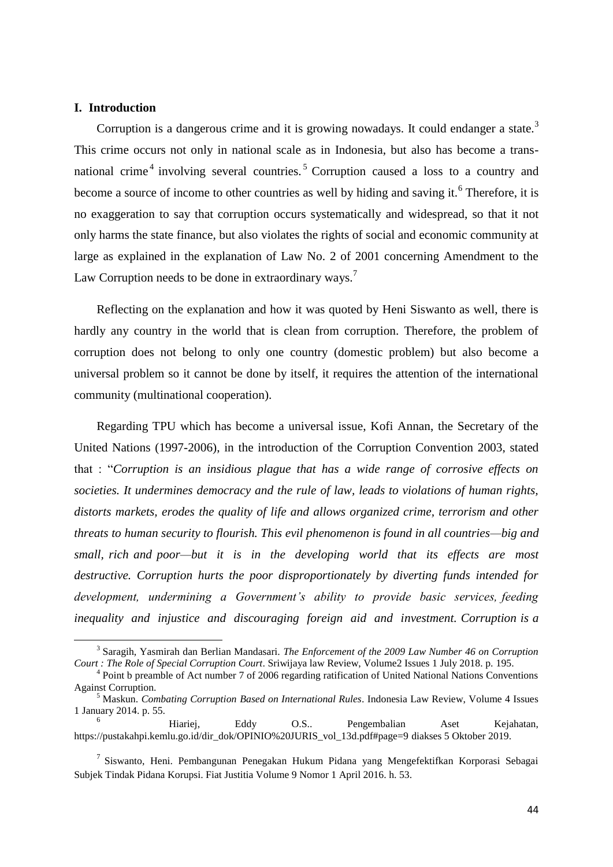## **I. Introduction**

1

Corruption is a dangerous crime and it is growing nowadays. It could endanger a state.<sup>3</sup> This crime occurs not only in national scale as in Indonesia, but also has become a transnational crime<sup>4</sup> involving several countries.<sup>5</sup> Corruption caused a loss to a country and become a source of income to other countries as well by hiding and saving it.<sup>6</sup> Therefore, it is no exaggeration to say that corruption occurs systematically and widespread, so that it not only harms the state finance, but also violates the rights of social and economic community at large as explained in the explanation of Law No. 2 of 2001 concerning Amendment to the Law Corruption needs to be done in extraordinary ways.<sup>7</sup>

Reflecting on the explanation and how it was quoted by Heni Siswanto as well, there is hardly any country in the world that is clean from corruption. Therefore, the problem of corruption does not belong to only one country (domestic problem) but also become a universal problem so it cannot be done by itself, it requires the attention of the international community (multinational cooperation).

Regarding TPU which has become a universal issue, Kofi Annan, the Secretary of the United Nations (1997-2006), in the introduction of the Corruption Convention 2003, stated that : "*Corruption is an insidious plague that has a wide range of corrosive effects on societies. It undermines democracy and the rule of law, leads to violations of human rights, distorts markets, erodes the quality of life and allows organized crime, terrorism and other threats to human security to flourish. This evil phenomenon is found in all countries—big and small, rich and poor—but it is in the developing world that its effects are most destructive. Corruption hurts the poor disproportionately by diverting funds intended for development, undermining a Government's ability to provide basic services, feeding inequality and injustice and discouraging foreign aid and investment. Corruption is a* 

<sup>3</sup> Saragih, Yasmirah dan Berlian Mandasari. *The Enforcement of the 2009 Law Number 46 on Corruption Court : The Role of Special Corruption Court*. Sriwijaya law Review, Volume2 Issues 1 July 2018. p. 195.

<sup>&</sup>lt;sup>4</sup> Point b preamble of Act number 7 of 2006 regarding ratification of United National Nations Conventions Against Corruption.

<sup>5</sup> Maskun. *Combating Corruption Based on International Rules*. Indonesia Law Review, Volume 4 Issues 1 January 2014. p. 55.

<sup>6</sup> Hiariej, Eddy O.S.. Pengembalian Aset Kejahatan, https://pustakahpi.kemlu.go.id/dir\_dok/OPINIO%20JURIS\_vol\_13d.pdf#page=9 diakses 5 Oktober 2019.

<sup>&</sup>lt;sup>7</sup> Siswanto, Heni. Pembangunan Penegakan Hukum Pidana yang Mengefektifkan Korporasi Sebagai Subjek Tindak Pidana Korupsi. Fiat Justitia Volume 9 Nomor 1 April 2016. h. 53.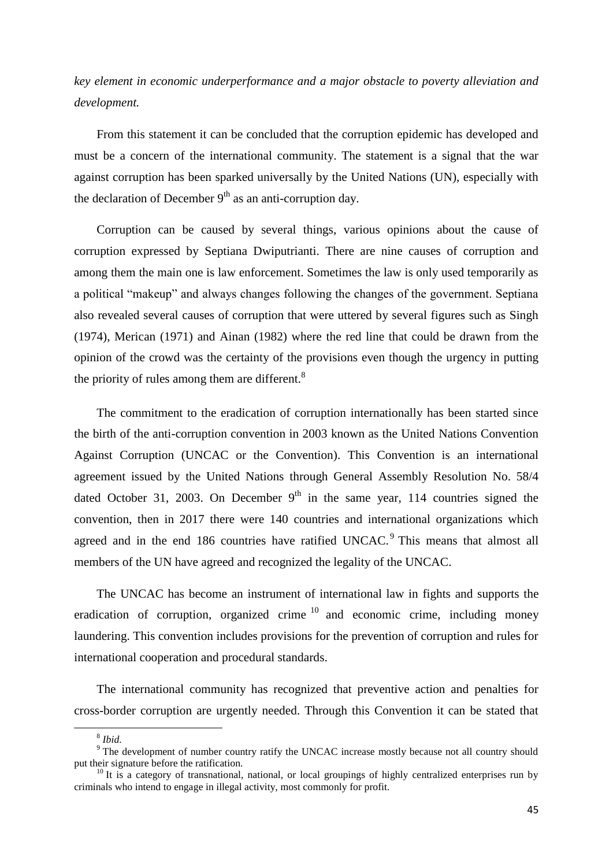*key element in economic underperformance and a major obstacle to poverty alleviation and development.*

From this statement it can be concluded that the corruption epidemic has developed and must be a concern of the international community. The statement is a signal that the war against corruption has been sparked universally by the United Nations (UN), especially with the declaration of December  $9<sup>th</sup>$  as an anti-corruption day.

Corruption can be caused by several things, various opinions about the cause of corruption expressed by Septiana Dwiputrianti. There are nine causes of corruption and among them the main one is law enforcement. Sometimes the law is only used temporarily as a political "makeup" and always changes following the changes of the government. Septiana also revealed several causes of corruption that were uttered by several figures such as Singh (1974), Merican (1971) and Ainan (1982) where the red line that could be drawn from the opinion of the crowd was the certainty of the provisions even though the urgency in putting the priority of rules among them are different. $8$ 

The commitment to the eradication of corruption internationally has been started since the birth of the anti-corruption convention in 2003 known as the United Nations Convention Against Corruption (UNCAC or the Convention). This Convention is an international agreement issued by the United Nations through General Assembly Resolution No. 58/4 dated October 31, 2003. On December  $9<sup>th</sup>$  in the same year, 114 countries signed the convention, then in 2017 there were 140 countries and international organizations which agreed and in the end 186 countries have ratified UNCAC.<sup>9</sup> This means that almost all members of the UN have agreed and recognized the legality of the UNCAC.

The UNCAC has become an instrument of international law in fights and supports the eradication of corruption, organized crime  $10$  and economic crime, including money laundering. This convention includes provisions for the prevention of corruption and rules for international cooperation and procedural standards.

The international community has recognized that preventive action and penalties for cross-border corruption are urgently needed. Through this Convention it can be stated that

<sup>8</sup> *Ibid.*

<sup>&</sup>lt;sup>9</sup> The development of number country ratify the UNCAC increase mostly because not all country should put their signature before the ratification.

 $10$  It is a category of transnational, national, or local groupings of highly centralized enterprises run by criminals who intend to engage in illegal activity, most commonly for profit.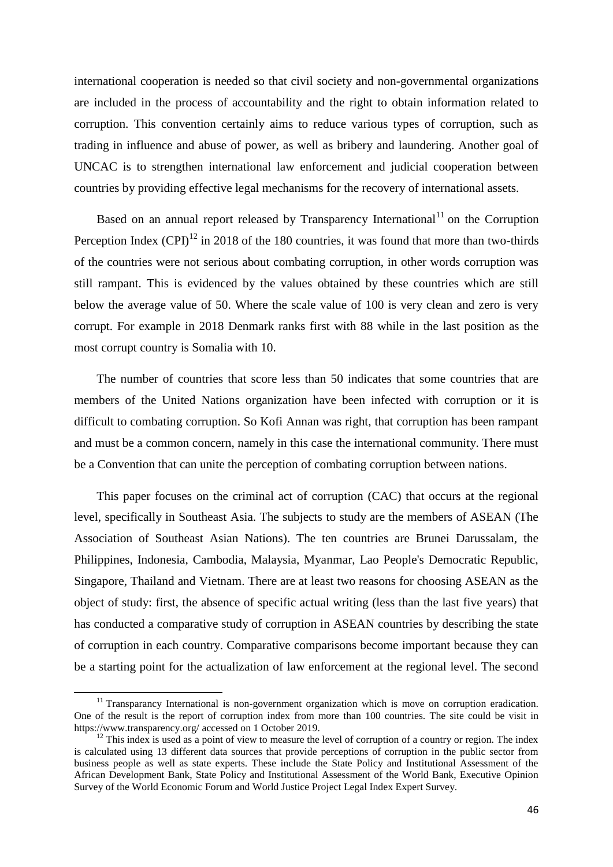international cooperation is needed so that civil society and non-governmental organizations are included in the process of accountability and the right to obtain information related to corruption. This convention certainly aims to reduce various types of corruption, such as trading in influence and abuse of power, as well as bribery and laundering. Another goal of UNCAC is to strengthen international law enforcement and judicial cooperation between countries by providing effective legal mechanisms for the recovery of international assets.

Based on an annual report released by Transparency International<sup>11</sup> on the Corruption Perception Index  $(CPI)^{12}$  in 2018 of the 180 countries, it was found that more than two-thirds of the countries were not serious about combating corruption, in other words corruption was still rampant. This is evidenced by the values obtained by these countries which are still below the average value of 50. Where the scale value of 100 is very clean and zero is very corrupt. For example in 2018 Denmark ranks first with 88 while in the last position as the most corrupt country is Somalia with 10.

The number of countries that score less than 50 indicates that some countries that are members of the United Nations organization have been infected with corruption or it is difficult to combating corruption. So Kofi Annan was right, that corruption has been rampant and must be a common concern, namely in this case the international community. There must be a Convention that can unite the perception of combating corruption between nations.

This paper focuses on the criminal act of corruption (CAC) that occurs at the regional level, specifically in Southeast Asia. The subjects to study are the members of ASEAN (The Association of Southeast Asian Nations). The ten countries are Brunei Darussalam, the Philippines, Indonesia, Cambodia, Malaysia, Myanmar, Lao People's Democratic Republic, Singapore, Thailand and Vietnam. There are at least two reasons for choosing ASEAN as the object of study: first, the absence of specific actual writing (less than the last five years) that has conducted a comparative study of corruption in ASEAN countries by describing the state of corruption in each country. Comparative comparisons become important because they can be a starting point for the actualization of law enforcement at the regional level. The second

 $11$  Transparancy International is non-government organization which is move on corruption eradication. One of the result is the report of corruption index from more than 100 countries. The site could be visit in <https://www.transparency.org/> accessed on 1 October 2019.

 $12$  This index is used as a point of view to measure the level of corruption of a country or region. The index is calculated using 13 different data sources that provide perceptions of corruption in the public sector from business people as well as state experts. These include the State Policy and Institutional Assessment of the African Development Bank, State Policy and Institutional Assessment of the World Bank, Executive Opinion Survey of the World Economic Forum and World Justice Project Legal Index Expert Survey.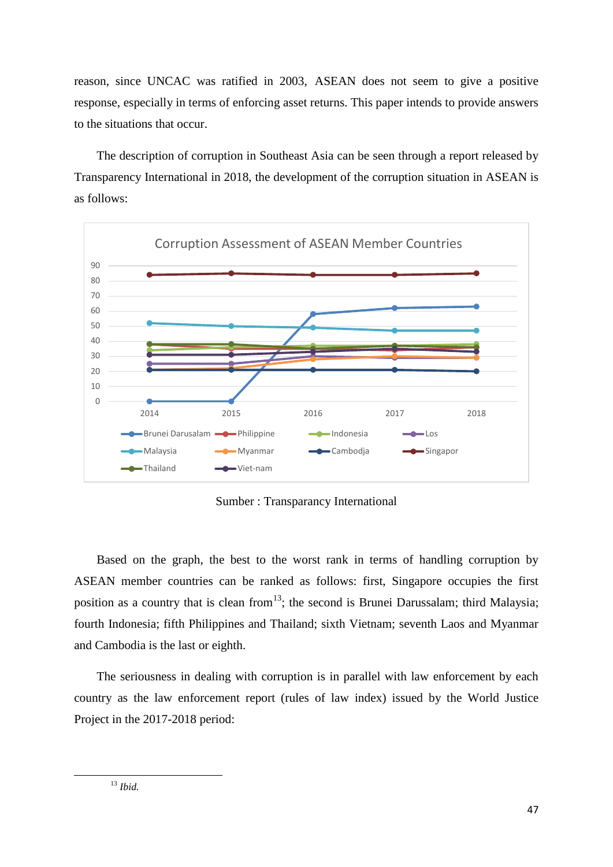reason, since UNCAC was ratified in 2003, ASEAN does not seem to give a positive response, especially in terms of enforcing asset returns. This paper intends to provide answers to the situations that occur.

The description of corruption in Southeast Asia can be seen through a report released by Transparency International in 2018, the development of the corruption situation in ASEAN is as follows:



Sumber : Transparancy International

Based on the graph, the best to the worst rank in terms of handling corruption by ASEAN member countries can be ranked as follows: first, Singapore occupies the first position as a country that is clean from  $13$ ; the second is Brunei Darussalam; third Malaysia; fourth Indonesia; fifth Philippines and Thailand; sixth Vietnam; seventh Laos and Myanmar and Cambodia is the last or eighth.

The seriousness in dealing with corruption is in parallel with law enforcement by each country as the law enforcement report (rules of law index) issued by the World Justice Project in the 2017-2018 period: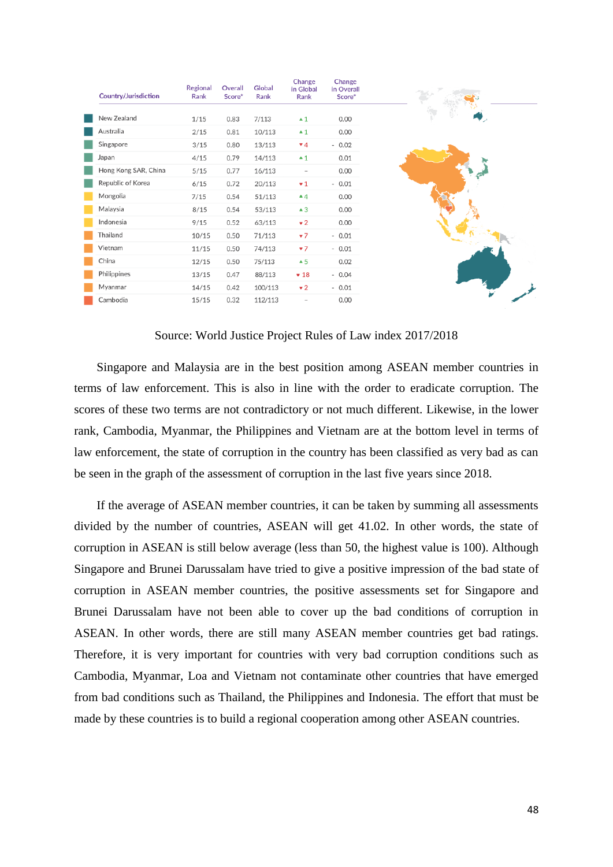| Country/Jurisdiction | Regional<br>Rank | Overall<br>Score* | Global<br>Rank | Change<br>in Global<br>Rank | Change<br>in Overall<br>Score* |
|----------------------|------------------|-------------------|----------------|-----------------------------|--------------------------------|
| New Zealand          | 1/15             | 0.83              | 7/113          | $\blacktriangle$ 1          | 0.00                           |
| Australia            | 2/15             | 0.81              | 10/113         | $\blacktriangle$ 1          | 0.00                           |
| Singapore            | 3/15             | 0.80              | 13/113         | $\Psi$ 4                    | $-0.02$                        |
| Japan                | 4/15             | 0.79              | 14/113         | $\blacktriangle$ 1          | 0.01                           |
| Hong Kong SAR, China | 5/15             | 0.77              | 16/113         | $\sim$                      | 0.00                           |
| Republic of Korea    | 6/15             | 0.72              | 20/113         | $\mathbf{v}$ 1              | $-0.01$                        |
| Mongolia             | 7/15             | 0.54              | 51/113         | $\triangle 4$               | 0.00                           |
| Malaysia             | 8/15             | 0.54              | 53/113         | $\triangle$ 3               | 0.00                           |
| Indonesia            | 9/15             | 0.52              | 63/113         | $\mathbf{v}$ 2              | 0.00                           |
| Thailand             | 10/15            | 0.50              | 71/113         | $7^{\frac{1}{2}}$           | $-0.01$                        |
| Vietnam              | 11/15            | 0.50              | 74/113         | $7^{\frac{1}{2}}$           | $-0.01$                        |
| China                | 12/15            | 0.50              | 75/113         | $\triangle$ 5               | 0.02                           |
| Philippines          | 13/15            | 0.47              | 88/113         | $+18$                       | $-0.04$                        |
| Myanmar              | 14/15            | 0.42              | 100/113        | $\mathbf{v}$ 2              | $-0.01$                        |
| Cambodia             | 15/15            | 0.32              | 112/113        | $\overline{\phantom{a}}$    | 0.00                           |

### Source: World Justice Project Rules of Law index 2017/2018

Singapore and Malaysia are in the best position among ASEAN member countries in terms of law enforcement. This is also in line with the order to eradicate corruption. The scores of these two terms are not contradictory or not much different. Likewise, in the lower rank, Cambodia, Myanmar, the Philippines and Vietnam are at the bottom level in terms of law enforcement, the state of corruption in the country has been classified as very bad as can be seen in the graph of the assessment of corruption in the last five years since 2018.

If the average of ASEAN member countries, it can be taken by summing all assessments divided by the number of countries, ASEAN will get 41.02. In other words, the state of corruption in ASEAN is still below average (less than 50, the highest value is 100). Although Singapore and Brunei Darussalam have tried to give a positive impression of the bad state of corruption in ASEAN member countries, the positive assessments set for Singapore and Brunei Darussalam have not been able to cover up the bad conditions of corruption in ASEAN. In other words, there are still many ASEAN member countries get bad ratings. Therefore, it is very important for countries with very bad corruption conditions such as Cambodia, Myanmar, Loa and Vietnam not contaminate other countries that have emerged from bad conditions such as Thailand, the Philippines and Indonesia. The effort that must be made by these countries is to build a regional cooperation among other ASEAN countries.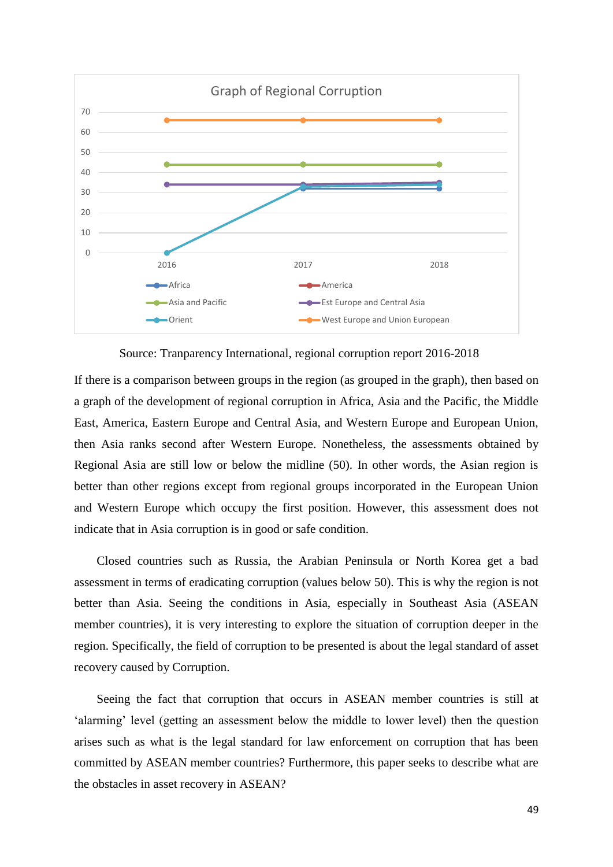

Source: Tranparency International, regional corruption report 2016-2018

If there is a comparison between groups in the region (as grouped in the graph), then based on a graph of the development of regional corruption in Africa, Asia and the Pacific, the Middle East, America, Eastern Europe and Central Asia, and Western Europe and European Union, then Asia ranks second after Western Europe. Nonetheless, the assessments obtained by Regional Asia are still low or below the midline (50). In other words, the Asian region is better than other regions except from regional groups incorporated in the European Union and Western Europe which occupy the first position. However, this assessment does not indicate that in Asia corruption is in good or safe condition.

Closed countries such as Russia, the Arabian Peninsula or North Korea get a bad assessment in terms of eradicating corruption (values below 50). This is why the region is not better than Asia. Seeing the conditions in Asia, especially in Southeast Asia (ASEAN member countries), it is very interesting to explore the situation of corruption deeper in the region. Specifically, the field of corruption to be presented is about the legal standard of asset recovery caused by Corruption.

Seeing the fact that corruption that occurs in ASEAN member countries is still at 'alarming' level (getting an assessment below the middle to lower level) then the question arises such as what is the legal standard for law enforcement on corruption that has been committed by ASEAN member countries? Furthermore, this paper seeks to describe what are the obstacles in asset recovery in ASEAN?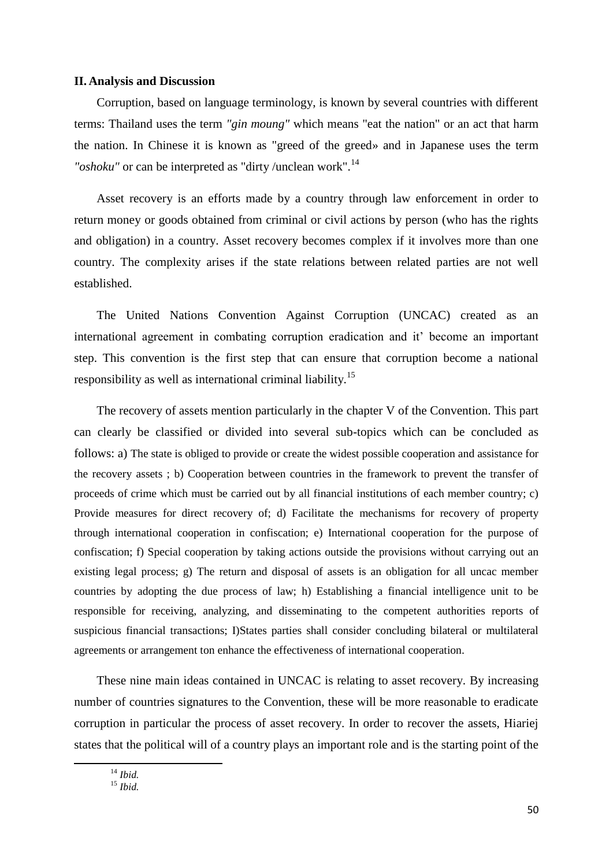#### **II. Analysis and Discussion**

Corruption, based on language terminology, is known by several countries with different terms: Thailand uses the term *"gin moung"* which means "eat the nation" or an act that harm the nation. In Chinese it is known as "greed of the greed» and in Japanese uses the term *"oshoku"* or can be interpreted as "dirty /unclean work".<sup>14</sup>

Asset recovery is an efforts made by a country through law enforcement in order to return money or goods obtained from criminal or civil actions by person (who has the rights and obligation) in a country. Asset recovery becomes complex if it involves more than one country. The complexity arises if the state relations between related parties are not well established.

The United Nations Convention Against Corruption (UNCAC) created as an international agreement in combating corruption eradication and it' become an important step. This convention is the first step that can ensure that corruption become a national responsibility as well as international criminal liability.<sup>15</sup>

The recovery of assets mention particularly in the chapter V of the Convention. This part can clearly be classified or divided into several sub-topics which can be concluded as follows: a) The state is obliged to provide or create the widest possible cooperation and assistance for the recovery assets ; b) Cooperation between countries in the framework to prevent the transfer of proceeds of crime which must be carried out by all financial institutions of each member country; c) Provide measures for direct recovery of; d) Facilitate the mechanisms for recovery of property through international cooperation in confiscation; e) International cooperation for the purpose of confiscation; f) Special cooperation by taking actions outside the provisions without carrying out an existing legal process; g) The return and disposal of assets is an obligation for all uncac member countries by adopting the due process of law; h) Establishing a financial intelligence unit to be responsible for receiving, analyzing, and disseminating to the competent authorities reports of suspicious financial transactions; I)States parties shall consider concluding bilateral or multilateral agreements or arrangement ton enhance the effectiveness of international cooperation.

These nine main ideas contained in UNCAC is relating to asset recovery. By increasing number of countries signatures to the Convention, these will be more reasonable to eradicate corruption in particular the process of asset recovery. In order to recover the assets, Hiariej states that the political will of a country plays an important role and is the starting point of the

<sup>15</sup> *Ibid.*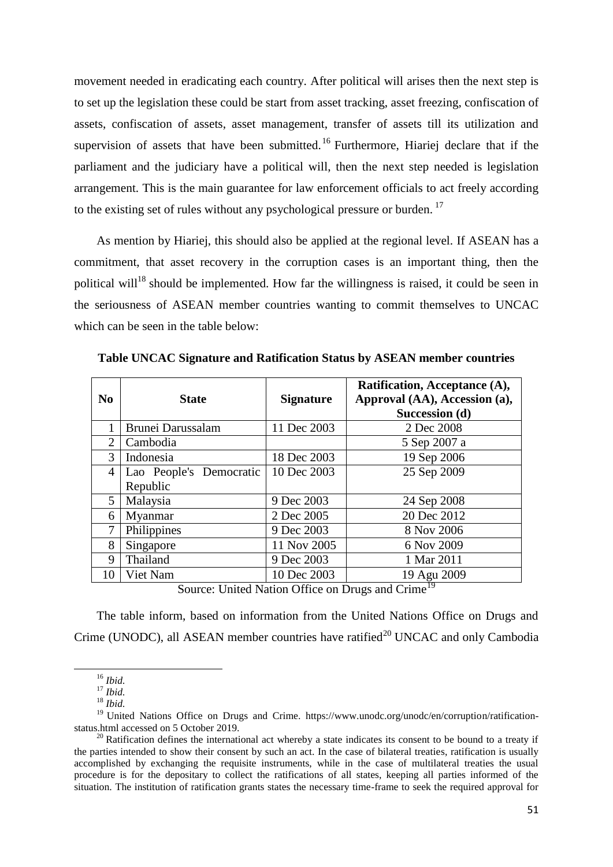movement needed in eradicating each country. After political will arises then the next step is to set up the legislation these could be start from asset tracking, asset freezing, confiscation of assets, confiscation of assets, asset management, transfer of assets till its utilization and supervision of assets that have been submitted.<sup>16</sup> Furthermore, Hiariej declare that if the parliament and the judiciary have a political will, then the next step needed is legislation arrangement. This is the main guarantee for law enforcement officials to act freely according to the existing set of rules without any psychological pressure or burden.<sup>17</sup>

As mention by Hiariej, this should also be applied at the regional level. If ASEAN has a commitment, that asset recovery in the corruption cases is an important thing, then the political will<sup>18</sup> should be implemented. How far the willingness is raised, it could be seen in the seriousness of ASEAN member countries wanting to commit themselves to UNCAC which can be seen in the table below:

| N <sub>0</sub> | <b>State</b>            | <b>Signature</b> | Ratification, Acceptance (A),<br>Approval (AA), Accession (a),<br>Succession (d) |  |
|----------------|-------------------------|------------------|----------------------------------------------------------------------------------|--|
|                | Brunei Darussalam       | 11 Dec 2003      | 2 Dec 2008                                                                       |  |
| 2              | Cambodia                |                  | 5 Sep 2007 a                                                                     |  |
| $\mathcal{F}$  | Indonesia               | 18 Dec 2003      | 19 Sep 2006                                                                      |  |
| $\overline{4}$ | Lao People's Democratic | 10 Dec 2003      | 25 Sep 2009                                                                      |  |
|                | Republic                |                  |                                                                                  |  |
| 5              | Malaysia                | 9 Dec 2003       | 24 Sep 2008                                                                      |  |
| 6              | Myanmar                 | 2 Dec 2005       | 20 Dec 2012                                                                      |  |
| 7              | Philippines             | 9 Dec 2003       | 8 Nov 2006                                                                       |  |
| 8              | Singapore               | 11 Nov 2005      | 6 Nov 2009                                                                       |  |
| 9              | Thailand                | 9 Dec 2003       | 1 Mar 2011                                                                       |  |
| 10             | Viet Nam                | 10 Dec 2003      | 19 Agu 2009                                                                      |  |

**Table UNCAC Signature and Ratification Status by ASEAN member countries**

Source: United Nation Office on Drugs and Crime<sup>19</sup>

The table inform, based on information from the United Nations Office on Drugs and Crime (UNODC), all ASEAN member countries have ratified<sup>20</sup> UNCAC and only Cambodia

<sup>16</sup> *Ibid.*

<sup>17</sup> *Ibid.*

<sup>18</sup> *Ibid.*

<sup>&</sup>lt;sup>19</sup> United Nations Office on Drugs and Crime. https://www.unodc.org/unodc/en/corruption/ratificationstatus.html accessed on 5 October 2019.

 $20$  Ratification defines the international act whereby a state indicates its consent to be bound to a treaty if the parties intended to show their consent by such an act. In the case of bilateral treaties, ratification is usually accomplished by exchanging the requisite instruments, while in the case of multilateral treaties the usual procedure is for the depositary to collect the ratifications of all states, keeping all parties informed of the situation. The institution of ratification grants states the necessary time-frame to seek the required approval for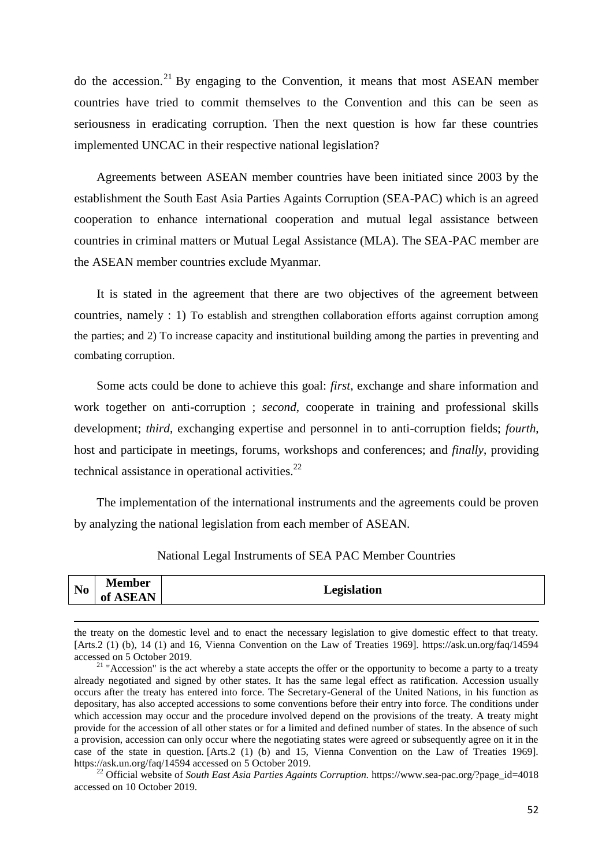do the accession.<sup>21</sup> By engaging to the Convention, it means that most ASEAN member countries have tried to commit themselves to the Convention and this can be seen as seriousness in eradicating corruption. Then the next question is how far these countries implemented UNCAC in their respective national legislation?

Agreements between ASEAN member countries have been initiated since 2003 by the establishment the South East Asia Parties Againts Corruption (SEA-PAC) which is an agreed cooperation to enhance international cooperation and mutual legal assistance between countries in criminal matters or Mutual Legal Assistance (MLA). The SEA-PAC member are the ASEAN member countries exclude Myanmar.

It is stated in the agreement that there are two objectives of the agreement between countries, namely : 1) To establish and strengthen collaboration efforts against corruption among the parties; and 2) To increase capacity and institutional building among the parties in preventing and combating corruption.

Some acts could be done to achieve this goal: *first*, exchange and share information and work together on anti-corruption ; *second*, cooperate in training and professional skills development; *third*, exchanging expertise and personnel in to anti-corruption fields; *fourth*, host and participate in meetings, forums, workshops and conferences; and *finally*, providing technical assistance in operational activities. $^{22}$ 

The implementation of the international instruments and the agreements could be proven by analyzing the national legislation from each member of ASEAN.

| National Legal Instruments of SEA PAC Member Countries |  |  |  |
|--------------------------------------------------------|--|--|--|
|--------------------------------------------------------|--|--|--|

| <b>Member</b><br>N <sub>0</sub><br>Legislation<br><b>ASEAN</b><br>0Ī |  |
|----------------------------------------------------------------------|--|
|----------------------------------------------------------------------|--|

the treaty on the domestic level and to enact the necessary legislation to give domestic effect to that treaty. [Arts.2 (1) (b), 14 (1) and 16, Vienna Convention on the Law of Treaties 1969]. https://ask.un.org/faq/14594 accessed on 5 October 2019.

**.** 

<sup>22</sup> Official website of *South East Asia Parties Againts Corruption.* [https://www.sea-pac.org/?page\\_id=4018](https://www.sea-pac.org/?page_id=4018) accessed on 10 October 2019.

 $21$  "Accession" is the act whereby a state accepts the offer or the opportunity to become a party to a treaty already negotiated and signed by other states. It has the same legal effect as ratification. Accession usually occurs after the treaty has entered into force. The Secretary-General of the United Nations, in his function as depositary, has also accepted accessions to some conventions before their entry into force. The conditions under which accession may occur and the procedure involved depend on the provisions of the treaty. A treaty might provide for the accession of all other states or for a limited and defined number of states. In the absence of such a provision, accession can only occur where the negotiating states were agreed or subsequently agree on it in the case of the state in question. [Arts.2 (1) (b) and 15, Vienna Convention on the Law of Treaties 1969]. https://ask.un.org/faq/14594 accessed on 5 October 2019.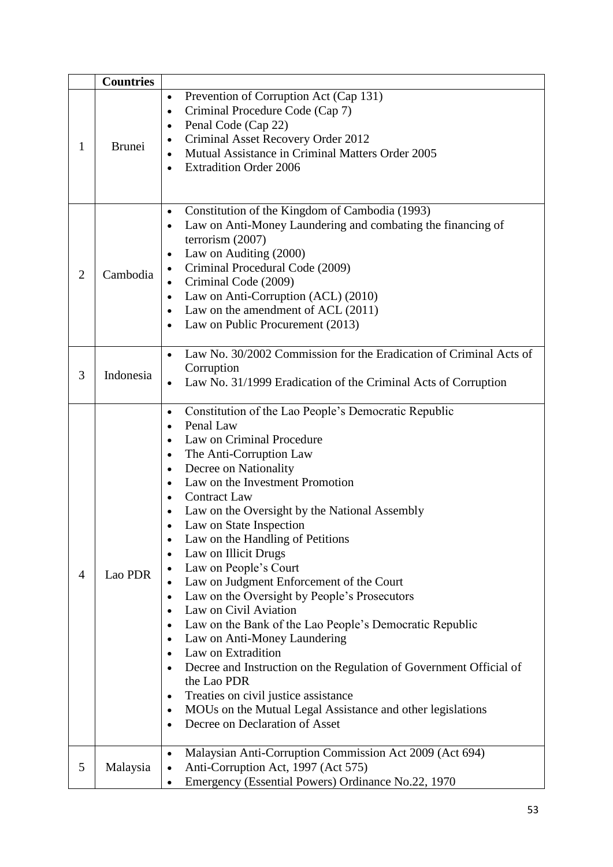|                | <b>Countries</b> |                                                                                                                                                                                                                                                                                                                                                                                                                                                                                                                                                                                                                                                                                                                                                                                                                                                                                                                                                                                                                                        |
|----------------|------------------|----------------------------------------------------------------------------------------------------------------------------------------------------------------------------------------------------------------------------------------------------------------------------------------------------------------------------------------------------------------------------------------------------------------------------------------------------------------------------------------------------------------------------------------------------------------------------------------------------------------------------------------------------------------------------------------------------------------------------------------------------------------------------------------------------------------------------------------------------------------------------------------------------------------------------------------------------------------------------------------------------------------------------------------|
| 1              | <b>Brunei</b>    | Prevention of Corruption Act (Cap 131)<br>$\bullet$<br>Criminal Procedure Code (Cap 7)<br>$\bullet$<br>Penal Code (Cap 22)<br>$\bullet$<br>Criminal Asset Recovery Order 2012<br>$\bullet$<br>Mutual Assistance in Criminal Matters Order 2005<br><b>Extradition Order 2006</b>                                                                                                                                                                                                                                                                                                                                                                                                                                                                                                                                                                                                                                                                                                                                                        |
| $\overline{2}$ | Cambodia         | Constitution of the Kingdom of Cambodia (1993)<br>$\bullet$<br>Law on Anti-Money Laundering and combating the financing of<br>$\bullet$<br>terrorism $(2007)$<br>Law on Auditing (2000)<br>Criminal Procedural Code (2009)<br>Criminal Code (2009)<br>$\bullet$<br>Law on Anti-Corruption (ACL) (2010)<br>$\bullet$<br>Law on the amendment of ACL $(2011)$<br>$\bullet$<br>Law on Public Procurement (2013)<br>$\bullet$                                                                                                                                                                                                                                                                                                                                                                                                                                                                                                                                                                                                              |
| 3              | Indonesia        | Law No. 30/2002 Commission for the Eradication of Criminal Acts of<br>Corruption<br>Law No. 31/1999 Eradication of the Criminal Acts of Corruption                                                                                                                                                                                                                                                                                                                                                                                                                                                                                                                                                                                                                                                                                                                                                                                                                                                                                     |
| 4              | Lao PDR          | Constitution of the Lao People's Democratic Republic<br>$\bullet$<br>Penal Law<br>$\bullet$<br>Law on Criminal Procedure<br>The Anti-Corruption Law<br>$\bullet$<br>Decree on Nationality<br>$\bullet$<br>Law on the Investment Promotion<br><b>Contract Law</b><br>$\bullet$<br>Law on the Oversight by the National Assembly<br>Law on State Inspection<br>Law on the Handling of Petitions<br>Law on Illicit Drugs<br>$\bullet$<br>Law on People's Court<br>Law on Judgment Enforcement of the Court<br>Law on the Oversight by People's Prosecutors<br>$\bullet$<br>Law on Civil Aviation<br>$\bullet$<br>Law on the Bank of the Lao People's Democratic Republic<br>$\bullet$<br>Law on Anti-Money Laundering<br>$\bullet$<br>Law on Extradition<br>$\bullet$<br>Decree and Instruction on the Regulation of Government Official of<br>the Lao PDR<br>Treaties on civil justice assistance<br>$\bullet$<br>MOUs on the Mutual Legal Assistance and other legislations<br>$\bullet$<br>Decree on Declaration of Asset<br>$\bullet$ |
| 5              | Malaysia         | Malaysian Anti-Corruption Commission Act 2009 (Act 694)<br>$\bullet$<br>Anti-Corruption Act, 1997 (Act 575)<br>Emergency (Essential Powers) Ordinance No.22, 1970<br>$\bullet$                                                                                                                                                                                                                                                                                                                                                                                                                                                                                                                                                                                                                                                                                                                                                                                                                                                         |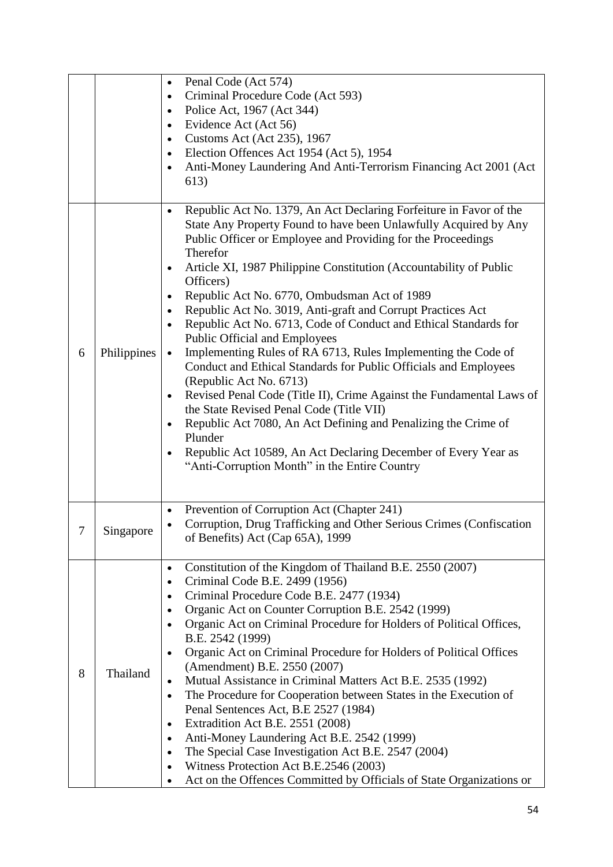|   |             | Penal Code (Act 574)<br>$\bullet$<br>Criminal Procedure Code (Act 593)<br>$\bullet$<br>Police Act, 1967 (Act 344)<br>$\bullet$<br>Evidence Act (Act 56)<br>$\bullet$<br>Customs Act (Act 235), 1967<br>$\bullet$<br>Election Offences Act 1954 (Act 5), 1954<br>$\bullet$                                                                                                                                                                                                                                                                                                                                                                                                                                                                                                                                                                                                                                                                                                                                                                            |
|---|-------------|------------------------------------------------------------------------------------------------------------------------------------------------------------------------------------------------------------------------------------------------------------------------------------------------------------------------------------------------------------------------------------------------------------------------------------------------------------------------------------------------------------------------------------------------------------------------------------------------------------------------------------------------------------------------------------------------------------------------------------------------------------------------------------------------------------------------------------------------------------------------------------------------------------------------------------------------------------------------------------------------------------------------------------------------------|
|   |             | Anti-Money Laundering And Anti-Terrorism Financing Act 2001 (Act<br>613)                                                                                                                                                                                                                                                                                                                                                                                                                                                                                                                                                                                                                                                                                                                                                                                                                                                                                                                                                                             |
| 6 | Philippines | Republic Act No. 1379, An Act Declaring Forfeiture in Favor of the<br>$\bullet$<br>State Any Property Found to have been Unlawfully Acquired by Any<br>Public Officer or Employee and Providing for the Proceedings<br>Therefor<br>Article XI, 1987 Philippine Constitution (Accountability of Public<br>$\bullet$<br>Officers)<br>Republic Act No. 6770, Ombudsman Act of 1989<br>Republic Act No. 3019, Anti-graft and Corrupt Practices Act<br>$\bullet$<br>Republic Act No. 6713, Code of Conduct and Ethical Standards for<br>Public Official and Employees<br>Implementing Rules of RA 6713, Rules Implementing the Code of<br>Conduct and Ethical Standards for Public Officials and Employees<br>(Republic Act No. 6713)<br>Revised Penal Code (Title II), Crime Against the Fundamental Laws of<br>the State Revised Penal Code (Title VII)<br>Republic Act 7080, An Act Defining and Penalizing the Crime of<br>Plunder<br>Republic Act 10589, An Act Declaring December of Every Year as<br>"Anti-Corruption Month" in the Entire Country |
| 7 | Singapore   | Prevention of Corruption Act (Chapter 241)<br>Corruption, Drug Trafficking and Other Serious Crimes (Confiscation<br>of Benefits) Act (Cap 65A), 1999                                                                                                                                                                                                                                                                                                                                                                                                                                                                                                                                                                                                                                                                                                                                                                                                                                                                                                |
| 8 | Thailand    | Constitution of the Kingdom of Thailand B.E. 2550 (2007)<br>$\bullet$<br>Criminal Code B.E. 2499 (1956)<br>Criminal Procedure Code B.E. 2477 (1934)<br>$\bullet$<br>Organic Act on Counter Corruption B.E. 2542 (1999)<br>$\bullet$<br>Organic Act on Criminal Procedure for Holders of Political Offices,<br>$\bullet$<br>B.E. 2542 (1999)<br>Organic Act on Criminal Procedure for Holders of Political Offices<br>(Amendment) B.E. 2550 (2007)<br>Mutual Assistance in Criminal Matters Act B.E. 2535 (1992)<br>The Procedure for Cooperation between States in the Execution of<br>$\bullet$<br>Penal Sentences Act, B.E 2527 (1984)<br>Extradition Act B.E. 2551 (2008)<br>$\bullet$<br>Anti-Money Laundering Act B.E. 2542 (1999)<br>$\bullet$<br>The Special Case Investigation Act B.E. 2547 (2004)<br>$\bullet$<br>Witness Protection Act B.E.2546 (2003)<br>Act on the Offences Committed by Officials of State Organizations or                                                                                                           |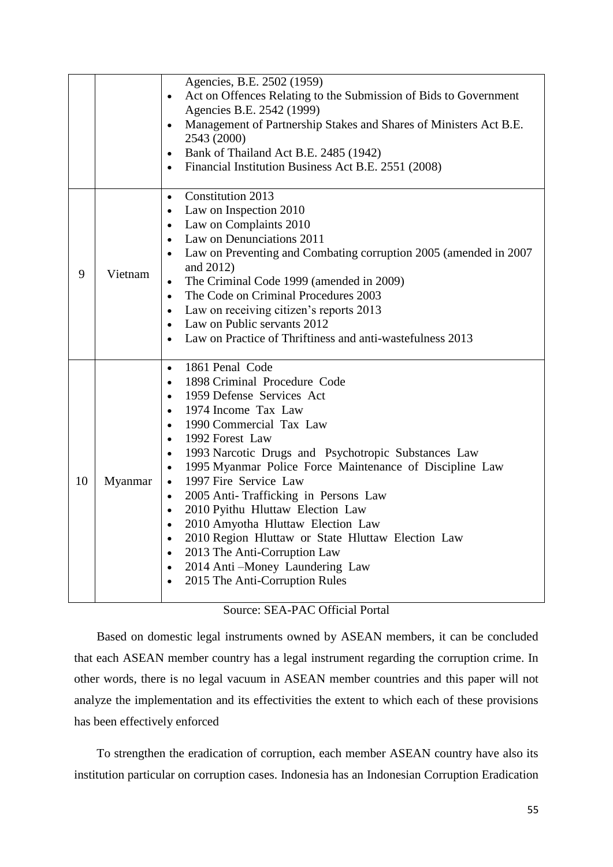|    |         | Agencies, B.E. 2502 (1959)<br>Act on Offences Relating to the Submission of Bids to Government<br>$\bullet$<br>Agencies B.E. 2542 (1999)<br>Management of Partnership Stakes and Shares of Ministers Act B.E.<br>$\bullet$<br>2543 (2000)<br>Bank of Thailand Act B.E. 2485 (1942)<br>$\bullet$<br>Financial Institution Business Act B.E. 2551 (2008)<br>$\bullet$                                                                                                                                                                                                                                                                                                                                                                                                        |
|----|---------|----------------------------------------------------------------------------------------------------------------------------------------------------------------------------------------------------------------------------------------------------------------------------------------------------------------------------------------------------------------------------------------------------------------------------------------------------------------------------------------------------------------------------------------------------------------------------------------------------------------------------------------------------------------------------------------------------------------------------------------------------------------------------|
| 9  | Vietnam | Constitution 2013<br>$\bullet$<br>Law on Inspection 2010<br>$\bullet$<br>Law on Complaints 2010<br>$\bullet$<br>Law on Denunciations 2011<br>$\bullet$<br>Law on Preventing and Combating corruption 2005 (amended in 2007)<br>$\bullet$<br>and 2012)<br>The Criminal Code 1999 (amended in 2009)<br>$\bullet$<br>The Code on Criminal Procedures 2003<br>$\bullet$<br>Law on receiving citizen's reports 2013<br>$\bullet$<br>Law on Public servants 2012<br>$\bullet$<br>Law on Practice of Thriftiness and anti-wastefulness 2013                                                                                                                                                                                                                                       |
| 10 | Myanmar | 1861 Penal Code<br>$\bullet$<br>1898 Criminal Procedure Code<br>$\bullet$<br>1959 Defense Services Act<br>$\bullet$<br>1974 Income Tax Law<br>$\bullet$<br>1990 Commercial Tax Law<br>$\bullet$<br>1992 Forest Law<br>$\bullet$<br>1993 Narcotic Drugs and Psychotropic Substances Law<br>$\bullet$<br>1995 Myanmar Police Force Maintenance of Discipline Law<br>$\bullet$<br>1997 Fire Service Law<br>$\bullet$<br>2005 Anti- Trafficking in Persons Law<br>$\bullet$<br>2010 Pyithu Hluttaw Election Law<br>$\bullet$<br>2010 Amyotha Hluttaw Election Law<br>$\bullet$<br>2010 Region Hluttaw or State Hluttaw Election Law<br>$\bullet$<br>2013 The Anti-Corruption Law<br>$\bullet$<br>2014 Anti-Money Laundering Law<br>$\bullet$<br>2015 The Anti-Corruption Rules |

# Source: SEA-PAC Official Portal

Based on domestic legal instruments owned by ASEAN members, it can be concluded that each ASEAN member country has a legal instrument regarding the corruption crime. In other words, there is no legal vacuum in ASEAN member countries and this paper will not analyze the implementation and its effectivities the extent to which each of these provisions has been effectively enforced

To strengthen the eradication of corruption, each member ASEAN country have also its institution particular on corruption cases. Indonesia has an Indonesian Corruption Eradication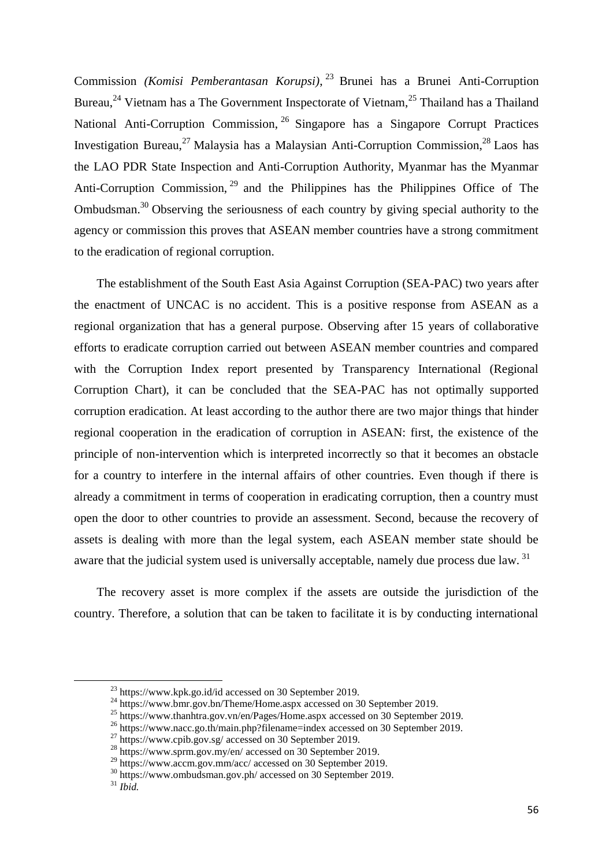Commission *(Komisi Pemberantasan Korupsi)*, <sup>23</sup> Brunei has a Brunei Anti-Corruption Bureau,<sup>24</sup> Vietnam has a The Government Inspectorate of Vietnam,<sup>25</sup> Thailand has a Thailand National Anti-Corruption Commission, <sup>26</sup> Singapore has a Singapore Corrupt Practices Investigation Bureau,<sup>27</sup> Malaysia has a Malaysian Anti-Corruption Commission, <sup>28</sup> Laos has the LAO PDR State Inspection and Anti-Corruption Authority, Myanmar has the Myanmar Anti-Corruption Commission, <sup>29</sup> and the Philippines has the Philippines Office of The Ombudsman.<sup>30</sup> Observing the seriousness of each country by giving special authority to the agency or commission this proves that ASEAN member countries have a strong commitment to the eradication of regional corruption.

The establishment of the South East Asia Against Corruption (SEA-PAC) two years after the enactment of UNCAC is no accident. This is a positive response from ASEAN as a regional organization that has a general purpose. Observing after 15 years of collaborative efforts to eradicate corruption carried out between ASEAN member countries and compared with the Corruption Index report presented by Transparency International (Regional Corruption Chart), it can be concluded that the SEA-PAC has not optimally supported corruption eradication. At least according to the author there are two major things that hinder regional cooperation in the eradication of corruption in ASEAN: first, the existence of the principle of non-intervention which is interpreted incorrectly so that it becomes an obstacle for a country to interfere in the internal affairs of other countries. Even though if there is already a commitment in terms of cooperation in eradicating corruption, then a country must open the door to other countries to provide an assessment. Second, because the recovery of assets is dealing with more than the legal system, each ASEAN member state should be aware that the judicial system used is universally acceptable, namely due process due law. <sup>31</sup>

The recovery asset is more complex if the assets are outside the jurisdiction of the country. Therefore, a solution that can be taken to facilitate it is by conducting international

1

<sup>23</sup> <https://www.kpk.go.id/id> accessed on 30 September 2019.

 $^{24}$  [https://www.bmr.gov.bn/Theme/Home.aspx](http://www.bmr.gov.bn/Theme/Home.aspx) accessed on 30 September 2019.

<sup>&</sup>lt;sup>25</sup> [https://www.thanhtra.gov.vn/en/Pages/Home.aspx](http://www.thanhtra.gov.vn/en/Pages/Home.aspx) accessed on 30 September 2019.

<sup>&</sup>lt;sup>26</sup> <https://www.nacc.go.th/main.php?filename=index> accessed on 30 September 2019.

 $27 \text{ https://www.cpib.gov.sg/ accessed on 30 September 2019.}$  $27 \text{ https://www.cpib.gov.sg/ accessed on 30 September 2019.}$  $27 \text{ https://www.cpib.gov.sg/ accessed on 30 September 2019.}$ 

<sup>&</sup>lt;sup>28</sup> <https://www.sprm.gov.my/en/> accessed on 30 September 2019.

 $^{29}$  [https://www.accm.gov.mm/acc/](http://www.accm.gov.mm/acc/) accessed on 30 September 2019.

<sup>&</sup>lt;sup>30</sup> <https://www.ombudsman.gov.ph/> accessed on 30 September 2019.

 $31$  *Ibid.*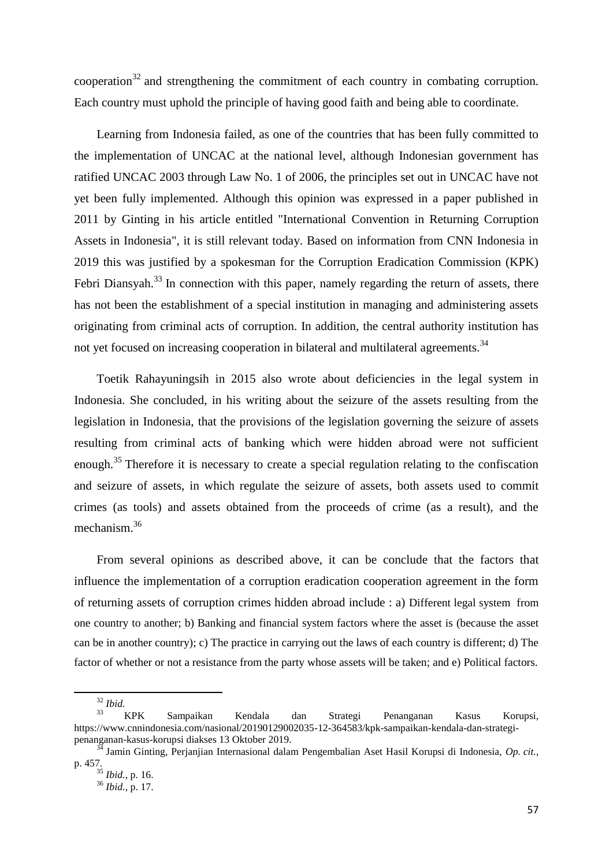cooperation $32$  and strengthening the commitment of each country in combating corruption. Each country must uphold the principle of having good faith and being able to coordinate.

Learning from Indonesia failed, as one of the countries that has been fully committed to the implementation of UNCAC at the national level, although Indonesian government has ratified UNCAC 2003 through Law No. 1 of 2006, the principles set out in UNCAC have not yet been fully implemented. Although this opinion was expressed in a paper published in 2011 by Ginting in his article entitled "International Convention in Returning Corruption Assets in Indonesia", it is still relevant today. Based on information from CNN Indonesia in 2019 this was justified by a spokesman for the Corruption Eradication Commission (KPK) Febri Diansyah.<sup>33</sup> In connection with this paper, namely regarding the return of assets, there has not been the establishment of a special institution in managing and administering assets originating from criminal acts of corruption. In addition, the central authority institution has not yet focused on increasing cooperation in bilateral and multilateral agreements.<sup>34</sup>

Toetik Rahayuningsih in 2015 also wrote about deficiencies in the legal system in Indonesia. She concluded, in his writing about the seizure of the assets resulting from the legislation in Indonesia, that the provisions of the legislation governing the seizure of assets resulting from criminal acts of banking which were hidden abroad were not sufficient enough.<sup>35</sup> Therefore it is necessary to create a special regulation relating to the confiscation and seizure of assets, in which regulate the seizure of assets, both assets used to commit crimes (as tools) and assets obtained from the proceeds of crime (as a result), and the mechanism.<sup>36</sup>

From several opinions as described above, it can be conclude that the factors that influence the implementation of a corruption eradication cooperation agreement in the form of returning assets of corruption crimes hidden abroad include : a) Different legal system from one country to another; b) Banking and financial system factors where the asset is (because the asset can be in another country); c) The practice in carrying out the laws of each country is different; d) The factor of whether or not a resistance from the party whose assets will be taken; and e) Political factors.

<sup>32</sup> *Ibid.*

<sup>33</sup> KPK Sampaikan Kendala dan Strategi Penanganan Kasus Korupsi, https://www.cnnindonesia.com/nasional/20190129002035-12-364583/kpk-sampaikan-kendala-dan-strategipenanganan-kasus-korupsi diakses 13 Oktober 2019.

<sup>34</sup> Jamin Ginting, Perjanjian Internasional dalam Pengembalian Aset Hasil Korupsi di Indonesia, *Op. cit.*, p. 457.

<sup>35</sup> *Ibid.*, p. 16.

<sup>36</sup> *Ibid.*, p. 17.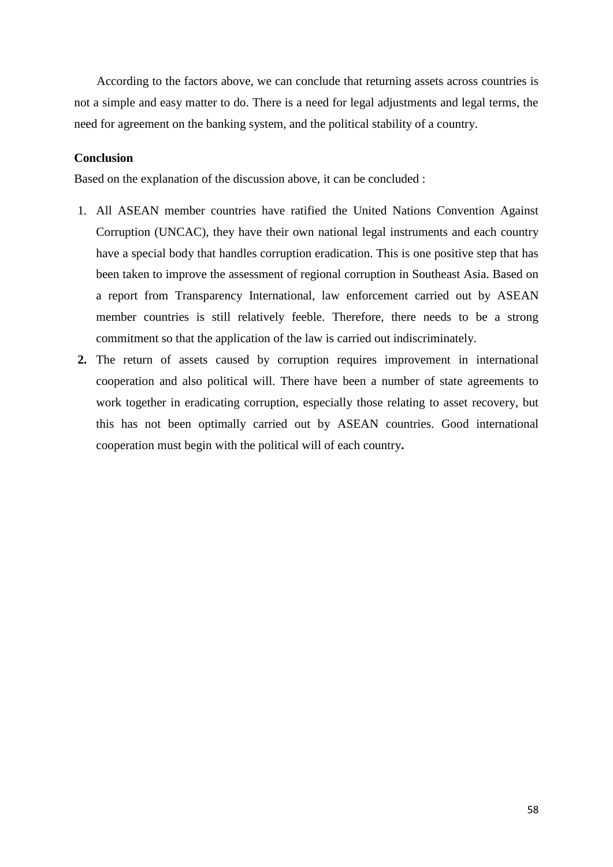According to the factors above, we can conclude that returning assets across countries is not a simple and easy matter to do. There is a need for legal adjustments and legal terms, the need for agreement on the banking system, and the political stability of a country.

## **Conclusion**

Based on the explanation of the discussion above, it can be concluded :

- 1. All ASEAN member countries have ratified the United Nations Convention Against Corruption (UNCAC), they have their own national legal instruments and each country have a special body that handles corruption eradication. This is one positive step that has been taken to improve the assessment of regional corruption in Southeast Asia. Based on a report from Transparency International, law enforcement carried out by ASEAN member countries is still relatively feeble. Therefore, there needs to be a strong commitment so that the application of the law is carried out indiscriminately.
- **2.** The return of assets caused by corruption requires improvement in international cooperation and also political will. There have been a number of state agreements to work together in eradicating corruption, especially those relating to asset recovery, but this has not been optimally carried out by ASEAN countries. Good international cooperation must begin with the political will of each country**.**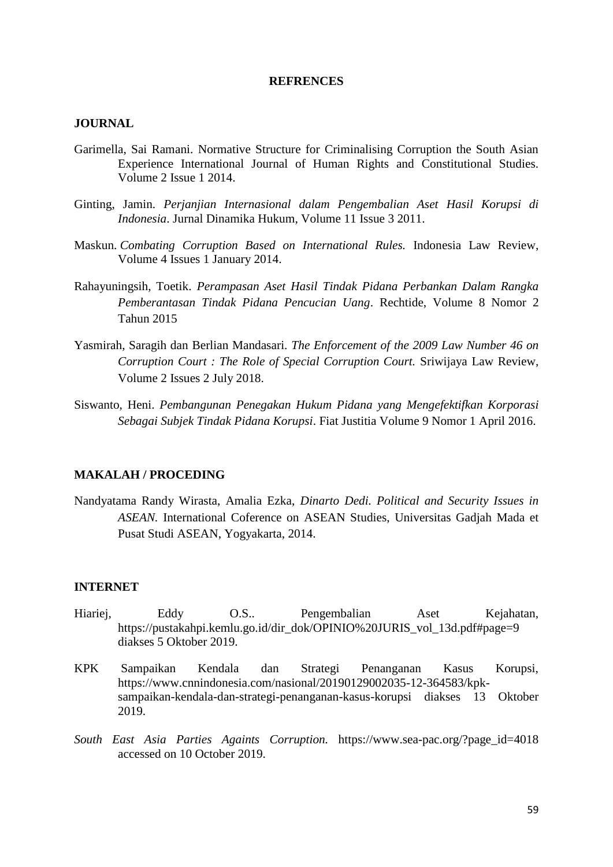#### **REFRENCES**

# **JOURNAL**

- Garimella, Sai Ramani. Normative Structure for Criminalising Corruption the South Asian Experience International Journal of Human Rights and Constitutional Studies. Volume 2 Issue 1 2014.
- Ginting, Jamin. *Perjanjian Internasional dalam Pengembalian Aset Hasil Korupsi di Indonesia*. Jurnal Dinamika Hukum, Volume 11 Issue 3 2011.
- Maskun. *Combating Corruption Based on International Rules.* Indonesia Law Review, Volume 4 Issues 1 January 2014.
- Rahayuningsih, Toetik. *Perampasan Aset Hasil Tindak Pidana Perbankan Dalam Rangka Pemberantasan Tindak Pidana Pencucian Uang*. Rechtide, Volume 8 Nomor 2 Tahun 2015
- Yasmirah, Saragih dan Berlian Mandasari. *The Enforcement of the 2009 Law Number 46 on Corruption Court : The Role of Special Corruption Court.* Sriwijaya Law Review, Volume 2 Issues 2 July 2018.
- Siswanto, Heni. *Pembangunan Penegakan Hukum Pidana yang Mengefektifkan Korporasi Sebagai Subjek Tindak Pidana Korupsi*. Fiat Justitia Volume 9 Nomor 1 April 2016.

#### **MAKALAH / PROCEDING**

Nandyatama Randy Wirasta, Amalia Ezka, *Dinarto Dedi. Political and Security Issues in ASEAN.* International Coference on ASEAN Studies, Universitas Gadjah Mada et Pusat Studi ASEAN, Yogyakarta, 2014.

### **INTERNET**

- Hiariej, Eddy O.S.. Pengembalian Aset Kejahatan, https://pustakahpi.kemlu.go.id/dir\_dok/OPINIO%20JURIS\_vol\_13d.pdf#page=9 diakses 5 Oktober 2019.
- KPK Sampaikan Kendala dan Strategi Penanganan Kasus Korupsi, https://www.cnnindonesia.com/nasional/20190129002035-12-364583/kpksampaikan-kendala-dan-strategi-penanganan-kasus-korupsi diakses 13 Oktober 2019.
- *South East Asia Parties Againts Corruption.* [https://www.sea-pac.org/?page\\_id=4018](https://www.sea-pac.org/?page_id=4018) accessed on 10 October 2019.